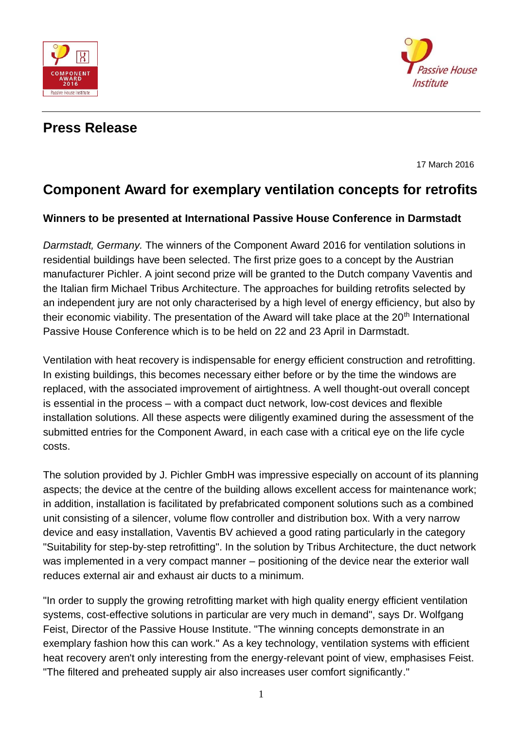



## **Press Release**

17 March 2016

## **Component Award for exemplary ventilation concepts for retrofits**

## **Winners to be presented at International Passive House Conference in Darmstadt**

*Darmstadt, Germany.* The winners of the Component Award 2016 for ventilation solutions in residential buildings have been selected. The first prize goes to a concept by the Austrian manufacturer Pichler. A joint second prize will be granted to the Dutch company Vaventis and the Italian firm Michael Tribus Architecture. The approaches for building retrofits selected by an independent jury are not only characterised by a high level of energy efficiency, but also by their economic viability. The presentation of the Award will take place at the  $20<sup>th</sup>$  International Passive House Conference which is to be held on 22 and 23 April in Darmstadt.

Ventilation with heat recovery is indispensable for energy efficient construction and retrofitting. In existing buildings, this becomes necessary either before or by the time the windows are replaced, with the associated improvement of airtightness. A well thought-out overall concept is essential in the process – with a compact duct network, low-cost devices and flexible installation solutions. All these aspects were diligently examined during the assessment of the submitted entries for the Component Award, in each case with a critical eye on the life cycle costs.

The solution provided by J. Pichler GmbH was impressive especially on account of its planning aspects; the device at the centre of the building allows excellent access for maintenance work; in addition, installation is facilitated by prefabricated component solutions such as a combined unit consisting of a silencer, volume flow controller and distribution box. With a very narrow device and easy installation, Vaventis BV achieved a good rating particularly in the category "Suitability for step-by-step retrofitting". In the solution by Tribus Architecture, the duct network was implemented in a very compact manner – positioning of the device near the exterior wall reduces external air and exhaust air ducts to a minimum.

"In order to supply the growing retrofitting market with high quality energy efficient ventilation systems, cost-effective solutions in particular are very much in demand", says Dr. Wolfgang Feist, Director of the Passive House Institute. "The winning concepts demonstrate in an exemplary fashion how this can work." As a key technology, ventilation systems with efficient heat recovery aren't only interesting from the energy-relevant point of view, emphasises Feist. "The filtered and preheated supply air also increases user comfort significantly."